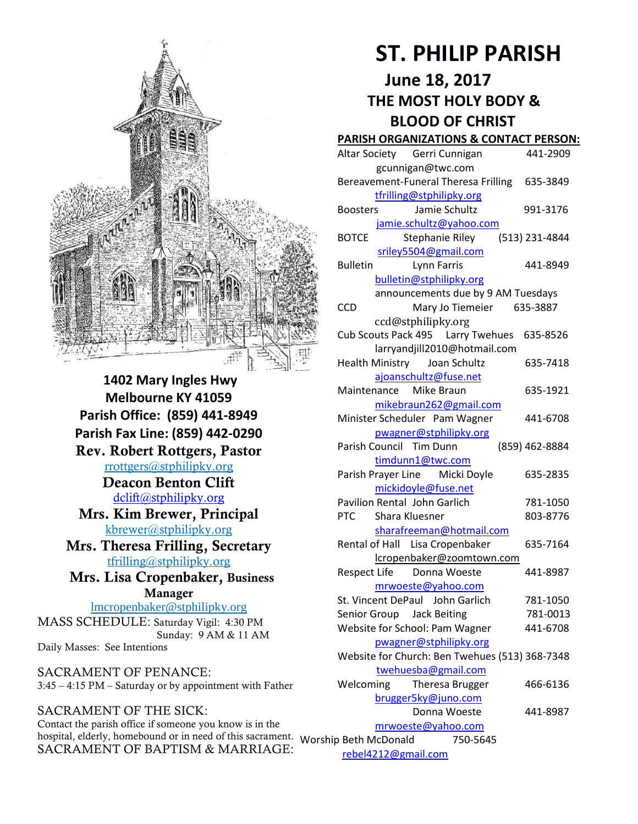

**1402 Mary Ingles Hwy Melbourne KY 41059 Parish Office: (859) 441-8949 Parish Fax Line: (859) 442-0290** Rev. Robert Rottgers, Pastor [rrottgers@stphilipky.org](mailto:rrottgers@stphilipky.org) Deacon Benton Clift [dclift@stphilipky.org](mailto:dclift@stphilipky.org) Mrs. Kim Brewer, Principal [kbrewer@stphilipky.org](mailto:kbrewer@stphilipky.org) Mrs. Theresa Frilling, Secretary [tfrilling@stphilipky.org](mailto:tfrilling@stphilipky.org) Mrs. Lisa Cropenbaker, Business Manager lmcropenbaker@stphilipky.org

MASS SCHEDULE: Saturday Vigil: 4:30 PM Sunday: 9 AM & 11 AM Daily Masses: See Intentions

SACRAMENT OF PENANCE: 3:45 – 4:15 PM – Saturday or by appointment with Father

SACRAMENT OF THE SICK: Contact the parish office if someone you know is in the hospital, elderly, homebound or in need of this sacrament. Worship Beth McDonald 750-5645 SACRAMENT OF BAPTISM & MARRIAGE:

# **ST. PHILIP PARISH**

# **June 18, 2017 THE MOST HOLY BODY & BLOOD OF CHRIST**

#### **PARISH ORGANIZATIONS & CONTACT PERSON:**

| Altar Society Gerri Cunnigan                                | 441-2909       |
|-------------------------------------------------------------|----------------|
| gcunnigan@twc.com                                           |                |
| Bereavement-Funeral Theresa Frilling 635-3849               |                |
| tfrilling@stphilipky.org                                    |                |
| Jamie Schultz<br><b>Boosters</b>                            | 991-3176       |
| jamie.schultz@yahoo.com                                     |                |
| <b>BOTCE</b><br>Stephanie Riley                             | (513) 231-4844 |
| sriley5504@gmail.com                                        |                |
| <b>Bulletin</b><br>Lynn Farris                              | 441-8949       |
| bulletin@stphilipky.org                                     |                |
| announcements due by 9 AM Tuesdays                          |                |
| <b>CCD</b><br>Mary Jo Tiemeier 635-3887                     |                |
| ccd@stphilipky.org                                          |                |
| Cub Scouts Pack 495   Larry Twehues                         | 635-8526       |
| larryandjill2010@hotmail.com                                |                |
| Health Ministry Joan Schultz                                | 635-7418       |
| ajoanschultz@fuse.net                                       |                |
| Maintenance Mike Braun                                      | 635-1921       |
| mikebraun262@gmail.com                                      |                |
| Minister Scheduler Pam Wagner                               | 441-6708       |
| pwagner@stphilipky.org                                      |                |
| Parish Council Tim Dunn                                     | (859) 462-8884 |
| timdunn1@twc.com                                            |                |
| Parish Prayer Line Micki Doyle                              | 635-2835       |
| mickidoyle@fuse.net<br>Pavilion Rental John Garlich         | 781-1050       |
| PTC<br>Shara Kluesner                                       | 803-8776       |
|                                                             |                |
| sharafreeman@hotmail.com<br>Rental of Hall Lisa Cropenbaker | 635-7164       |
| lcropenbaker@zoomtown.com                                   |                |
| Respect Life Donna Woeste                                   | 441-8987       |
| mrwoeste@yahoo.com                                          |                |
| St. Vincent DePaul John Garlich                             | 781-1050       |
| Senior Group Jack Beiting                                   | 781-0013       |
| Website for School: Pam Wagner                              | 441-6708       |
| pwagner@stphilipky.org                                      |                |
| Website for Church: Ben Twehues (513) 368-7348              |                |
| twehuesba@gmail.com                                         |                |
| Welcoming<br>Theresa Brugger                                | 466-6136       |
| brugger5ky@juno.com                                         |                |
| Donna Woeste                                                | 441-8987       |
| mrwoeste@yahoo.com                                          |                |
| 750-5645<br>p Beth McDonald                                 |                |

[rebel4212@gmail.com](mailto:trebel4212@gmail.com)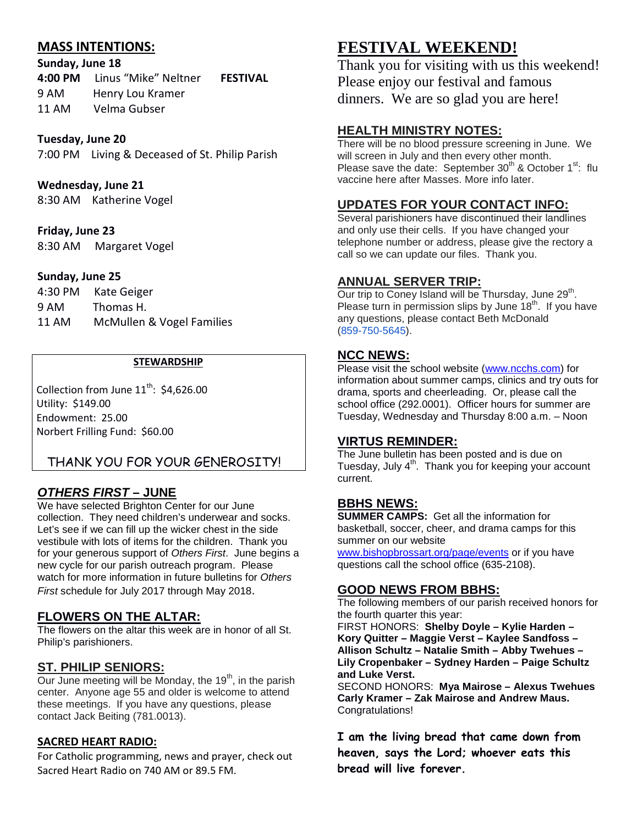## **MASS INTENTIONS:**

#### **Sunday, June 18**

**4:00 PM** Linus "Mike" Neltner **FESTIVAL** 9 AM Henry Lou Kramer 11 AM Velma Gubser

## **Tuesday, June 20**

7:00 PM Living & Deceased of St. Philip Parish

## **Wednesday, June 21**

8:30 AM Katherine Vogel

## **Friday, June 23**

8:30 AM Margaret Vogel

## **Sunday, June 25**

| 4:30 PM | Kate Geiger               |
|---------|---------------------------|
| 9 AM    | Thomas H.                 |
| 11 AM   | McMullen & Vogel Families |

### **STEWARDSHIP**

Collection from June  $11^{th}$ : \$4,626.00 Utility: \$149.00 Endowment: 25.00 Norbert Frilling Fund: \$60.00

# THANK YOU FOR YOUR GENEROSITY!

# *OTHERS FIRST* **– JUNE**

We have selected Brighton Center for our June collection. They need children's underwear and socks. Let's see if we can fill up the wicker chest in the side vestibule with lots of items for the children. Thank you for your generous support of *Others First*. June begins a new cycle for our parish outreach program. Please watch for more information in future bulletins for *Others First* schedule for July 2017 through May 2018.

## **FLOWERS ON THE ALTAR:**

The flowers on the altar this week are in honor of all St. Philip's parishioners.

## **ST. PHILIP SENIORS:**

Our June meeting will be Monday, the  $19<sup>th</sup>$ , in the parish center. Anyone age 55 and older is welcome to attend these meetings. If you have any questions, please contact Jack Beiting (781.0013).

## **SACRED HEART RADIO:**

For Catholic programming, news and prayer, check out Sacred Heart Radio on 740 AM or 89.5 FM.

# **FESTIVAL WEEKEND!**

Thank you for visiting with us this weekend! Please enjoy our festival and famous dinners. We are so glad you are here!

# **HEALTH MINISTRY NOTES:**

There will be no blood pressure screening in June. We will screen in July and then every other month. Please save the date: September  $30^{th}$  & October 1<sup>st</sup>: flu vaccine here after Masses. More info later.

# **UPDATES FOR YOUR CONTACT INFO:**

Several parishioners have discontinued their landlines and only use their cells. If you have changed your telephone number or address, please give the rectory a call so we can update our files. Thank you.

## **ANNUAL SERVER TRIP:**

Our trip to Coney Island will be Thursday, June 29<sup>th</sup>. Please turn in permission slips by June  $18<sup>th</sup>$ . If you have any questions, please contact Beth McDonald [\(859-750-5645\)](tel:(859)%20750-5645).

#### **NCC NEWS:**

Please visit the school website [\(www.ncchs.com\)](http://www.ncchs.com/) for information about summer camps, clinics and try outs for drama, sports and cheerleading. Or, please call the school office (292.0001). Officer hours for summer are Tuesday, Wednesday and Thursday 8:00 a.m. – Noon

#### **VIRTUS REMINDER:**

The June bulletin has been posted and is due on Tuesday, July 4<sup>th</sup>. Thank you for keeping your account current.

#### **BBHS NEWS:**

**SUMMER CAMPS:** Get all the information for basketball, soccer, cheer, and drama camps for this summer on our website

[www.bishopbrossart.org/page/events](http://www.bishopbrossart.org/page/events) or if you have questions call the school office (635-2108).

### **GOOD NEWS FROM BBHS:**

The following members of our parish received honors for the fourth quarter this year:

FIRST HONORS: **Shelby Doyle – Kylie Harden – Kory Quitter – Maggie Verst – Kaylee Sandfoss – Allison Schultz – Natalie Smith – Abby Twehues – Lily Cropenbaker – Sydney Harden – Paige Schultz and Luke Verst.**

SECOND HONORS: **Mya Mairose – Alexus Twehues Carly Kramer – Zak Mairose and Andrew Maus.** Congratulations!

**I am the living bread that came down from heaven, says the Lord; whoever eats this bread will live forever.**